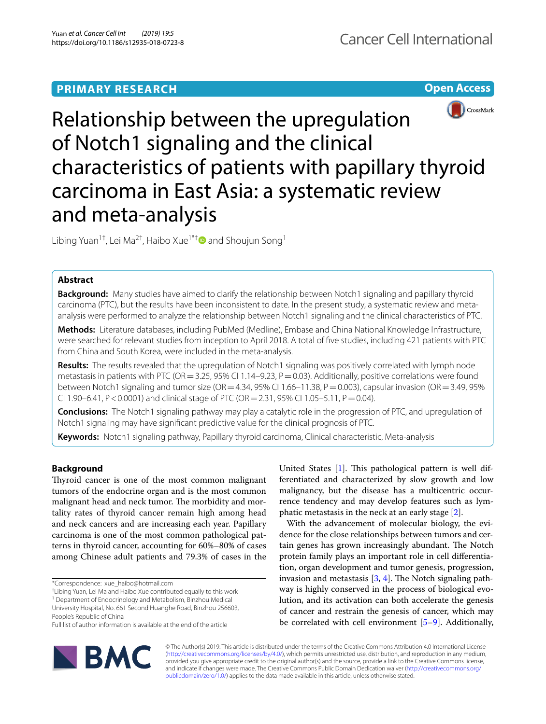## **PRIMARY RESEARCH**

**Open Access**



# Relationship between the upregulation of Notch1 signaling and the clinical characteristics of patients with papillary thyroid carcinoma in East Asia: a systematic review and meta-analysis

Libing Yuan<sup>1†</sup>, Lei Ma<sup>2†</sup>, Haibo Xue<sup>1\*†</sup> and Shoujun Song<sup>1</sup>

## **Abstract**

**Background:** Many studies have aimed to clarify the relationship between Notch1 signaling and papillary thyroid carcinoma (PTC), but the results have been inconsistent to date. In the present study, a systematic review and metaanalysis were performed to analyze the relationship between Notch1 signaling and the clinical characteristics of PTC.

**Methods:** Literature databases, including PubMed (Medline), Embase and China National Knowledge Infrastructure, were searched for relevant studies from inception to April 2018. A total of fve studies, including 421 patients with PTC from China and South Korea, were included in the meta-analysis.

**Results:** The results revealed that the upregulation of Notch1 signaling was positively correlated with lymph node metastasis in patients with PTC (OR = 3.25, 95% CI 1.14–9.23,  $P = 0.03$ ). Additionally, positive correlations were found between Notch1 signaling and tumor size (OR=4.34, 95% CI 1.66–11.38, P=0.003), capsular invasion (OR=3.49, 95% CI 1.90–6.41, P < 0.0001) and clinical stage of PTC (OR = 2.31, 95% CI 1.05–5.11, P = 0.04).

**Conclusions:** The Notch1 signaling pathway may play a catalytic role in the progression of PTC, and upregulation of Notch1 signaling may have signifcant predictive value for the clinical prognosis of PTC.

**Keywords:** Notch1 signaling pathway, Papillary thyroid carcinoma, Clinical characteristic, Meta-analysis

## **Background**

Thyroid cancer is one of the most common malignant tumors of the endocrine organ and is the most common malignant head and neck tumor. The morbidity and mortality rates of thyroid cancer remain high among head and neck cancers and are increasing each year. Papillary carcinoma is one of the most common pathological patterns in thyroid cancer, accounting for 60%–80% of cases among Chinese adult patients and 79.3% of cases in the

<sup>1</sup> Department of Endocrinology and Metabolism, Binzhou Medical University Hospital, No. 661 Second Huanghe Road, Binzhou 256603,

People's Republic of China



With the advancement of molecular biology, the evidence for the close relationships between tumors and certain genes has grown increasingly abundant. The Notch protein family plays an important role in cell diferentiation, organ development and tumor genesis, progression, invasion and metastasis  $[3, 4]$  $[3, 4]$  $[3, 4]$ . The Notch signaling pathway is highly conserved in the process of biological evolution, and its activation can both accelerate the genesis of cancer and restrain the genesis of cancer, which may be correlated with cell environment [[5](#page-7-4)[–9](#page-7-5)]. Additionally,



© The Author(s) 2019. This article is distributed under the terms of the Creative Commons Attribution 4.0 International License [\(http://creativecommons.org/licenses/by/4.0/\)](http://creativecommons.org/licenses/by/4.0/), which permits unrestricted use, distribution, and reproduction in any medium, provided you give appropriate credit to the original author(s) and the source, provide a link to the Creative Commons license, and indicate if changes were made. The Creative Commons Public Domain Dedication waiver ([http://creativecommons.org/](http://creativecommons.org/publicdomain/zero/1.0/) [publicdomain/zero/1.0/](http://creativecommons.org/publicdomain/zero/1.0/)) applies to the data made available in this article, unless otherwise stated.

<sup>\*</sup>Correspondence: xue\_haibo@hotmail.com

<sup>†</sup> Libing Yuan, Lei Ma and Haibo Xue contributed equally to this work

Full list of author information is available at the end of the article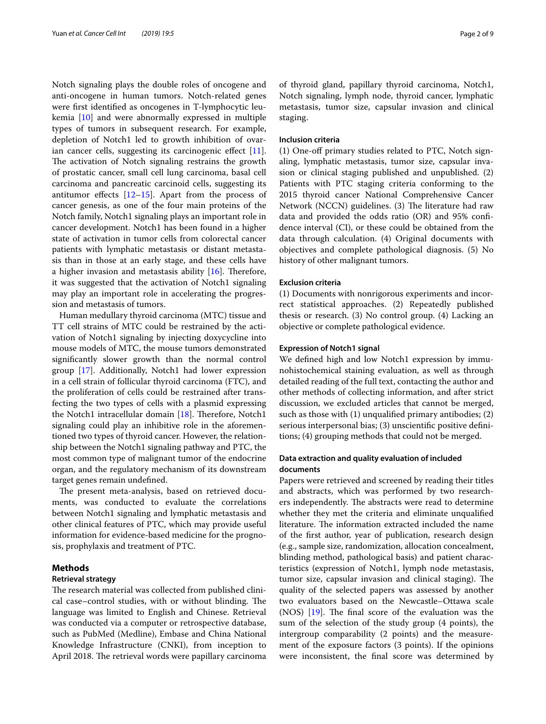Notch signaling plays the double roles of oncogene and anti-oncogene in human tumors. Notch-related genes were frst identifed as oncogenes in T-lymphocytic leukemia [[10\]](#page-7-6) and were abnormally expressed in multiple types of tumors in subsequent research. For example, depletion of Notch1 led to growth inhibition of ovarian cancer cells, suggesting its carcinogenic effect  $[11]$  $[11]$ . The activation of Notch signaling restrains the growth of prostatic cancer, small cell lung carcinoma, basal cell carcinoma and pancreatic carcinoid cells, suggesting its antitumor effects  $[12-15]$  $[12-15]$ . Apart from the process of cancer genesis, as one of the four main proteins of the Notch family, Notch1 signaling plays an important role in cancer development. Notch1 has been found in a higher state of activation in tumor cells from colorectal cancer patients with lymphatic metastasis or distant metastasis than in those at an early stage, and these cells have a higher invasion and metastasis ability  $[16]$  $[16]$ . Therefore, it was suggested that the activation of Notch1 signaling may play an important role in accelerating the progression and metastasis of tumors.

Human medullary thyroid carcinoma (MTC) tissue and TT cell strains of MTC could be restrained by the activation of Notch1 signaling by injecting doxycycline into mouse models of MTC, the mouse tumors demonstrated signifcantly slower growth than the normal control group [[17](#page-7-11)]. Additionally, Notch1 had lower expression in a cell strain of follicular thyroid carcinoma (FTC), and the proliferation of cells could be restrained after transfecting the two types of cells with a plasmid expressing the Notch1 intracellular domain  $[18]$  $[18]$  $[18]$ . Therefore, Notch1 signaling could play an inhibitive role in the aforementioned two types of thyroid cancer. However, the relationship between the Notch1 signaling pathway and PTC, the most common type of malignant tumor of the endocrine organ, and the regulatory mechanism of its downstream target genes remain undefned.

The present meta-analysis, based on retrieved documents, was conducted to evaluate the correlations between Notch1 signaling and lymphatic metastasis and other clinical features of PTC, which may provide useful information for evidence-based medicine for the prognosis, prophylaxis and treatment of PTC.

## **Methods**

## **Retrieval strategy**

The research material was collected from published clinical case–control studies, with or without blinding. The language was limited to English and Chinese. Retrieval was conducted via a computer or retrospective database, such as PubMed (Medline), Embase and China National Knowledge Infrastructure (CNKI), from inception to April 2018. The retrieval words were papillary carcinoma of thyroid gland, papillary thyroid carcinoma, Notch1, Notch signaling, lymph node, thyroid cancer, lymphatic metastasis, tumor size, capsular invasion and clinical staging.

## **Inclusion criteria**

(1) One-of primary studies related to PTC, Notch signaling, lymphatic metastasis, tumor size, capsular invasion or clinical staging published and unpublished. (2) Patients with PTC staging criteria conforming to the 2015 thyroid cancer National Comprehensive Cancer Network (NCCN) guidelines. (3) The literature had raw data and provided the odds ratio (OR) and 95% confdence interval (CI), or these could be obtained from the data through calculation. (4) Original documents with objectives and complete pathological diagnosis. (5) No history of other malignant tumors.

#### **Exclusion criteria**

(1) Documents with nonrigorous experiments and incorrect statistical approaches. (2) Repeatedly published thesis or research. (3) No control group. (4) Lacking an objective or complete pathological evidence.

## **Expression of Notch1 signal**

We defned high and low Notch1 expression by immunohistochemical staining evaluation, as well as through detailed reading of the full text, contacting the author and other methods of collecting information, and after strict discussion, we excluded articles that cannot be merged, such as those with (1) unqualifed primary antibodies; (2) serious interpersonal bias; (3) unscientifc positive defnitions; (4) grouping methods that could not be merged.

## **Data extraction and quality evaluation of included documents**

Papers were retrieved and screened by reading their titles and abstracts, which was performed by two researchers independently. The abstracts were read to determine whether they met the criteria and eliminate unqualifed literature. The information extracted included the name of the frst author, year of publication, research design (e.g., sample size, randomization, allocation concealment, blinding method, pathological basis) and patient characteristics (expression of Notch1, lymph node metastasis, tumor size, capsular invasion and clinical staging). The quality of the selected papers was assessed by another two evaluators based on the Newcastle–Ottawa scale (NOS)  $[19]$  $[19]$ . The final score of the evaluation was the sum of the selection of the study group (4 points), the intergroup comparability (2 points) and the measurement of the exposure factors (3 points). If the opinions were inconsistent, the fnal score was determined by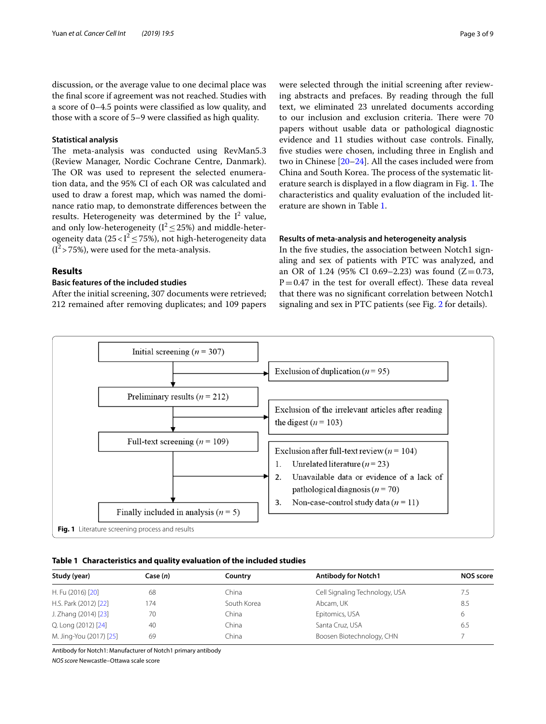discussion, or the average value to one decimal place was the fnal score if agreement was not reached. Studies with a score of 0–4.5 points were classifed as low quality, and those with a score of 5–9 were classifed as high quality.

#### **Statistical analysis**

The meta-analysis was conducted using RevMan5.3 (Review Manager, Nordic Cochrane Centre, Danmark). The OR was used to represent the selected enumeration data, and the 95% CI of each OR was calculated and used to draw a forest map, which was named the dominance ratio map, to demonstrate diferences between the results. Heterogeneity was determined by the  $I^2$  value, and only low-heterogeneity ( $I^2 \le 25\%$ ) and middle-heterogeneity data (25< $I^2 \le 75\%$ ), not high-heterogeneity data  $(1^2 > 75\%)$ , were used for the meta-analysis.

## **Results**

## **Basic features of the included studies**

After the initial screening, 307 documents were retrieved; 212 remained after removing duplicates; and 109 papers were selected through the initial screening after reviewing abstracts and prefaces. By reading through the full text, we eliminated 23 unrelated documents according to our inclusion and exclusion criteria. There were 70 papers without usable data or pathological diagnostic evidence and 11 studies without case controls. Finally, fve studies were chosen, including three in English and two in Chinese [[20](#page-7-14)[–24](#page-7-15)]. All the cases included were from China and South Korea. The process of the systematic lit-erature search is displayed in a flow diagram in Fig. [1.](#page-2-0) The characteristics and quality evaluation of the included literature are shown in Table [1](#page-2-1).

## **Results of meta‑analysis and heterogeneity analysis**

In the fve studies, the association between Notch1 signaling and sex of patients with PTC was analyzed, and an OR of 1.24 (95% CI 0.69–2.23) was found  $(Z=0.73,$  $P=0.47$  in the test for overall effect). These data reveal that there was no signifcant correlation between Notch1 signaling and sex in PTC patients (see Fig. [2](#page-3-0) for details).



#### <span id="page-2-1"></span><span id="page-2-0"></span>**Table 1 Characteristics and quality evaluation of the included studies**

| Study (year)            | Case (n) | Country     | <b>Antibody for Notch1</b>     | NOS score |
|-------------------------|----------|-------------|--------------------------------|-----------|
| H. Fu (2016) [20]       | 68       | China       | Cell Signaling Technology, USA | 7.5       |
| H.S. Park (2012) [22]   | 174      | South Korea | Abcam, UK                      | 8.5       |
| J. Zhang (2014) [23]    | 70       | China       | Epitomics, USA                 | 6         |
| Q. Long (2012) [24]     | 40       | China       | Santa Cruz, USA                | 6.5       |
| M. Jing-You (2017) [25] | 69       | China       | Boosen Biotechnology, CHN      |           |

Antibody for Notch1: Manufacturer of Notch1 primary antibody

*NOS score* Newcastle–Ottawa scale score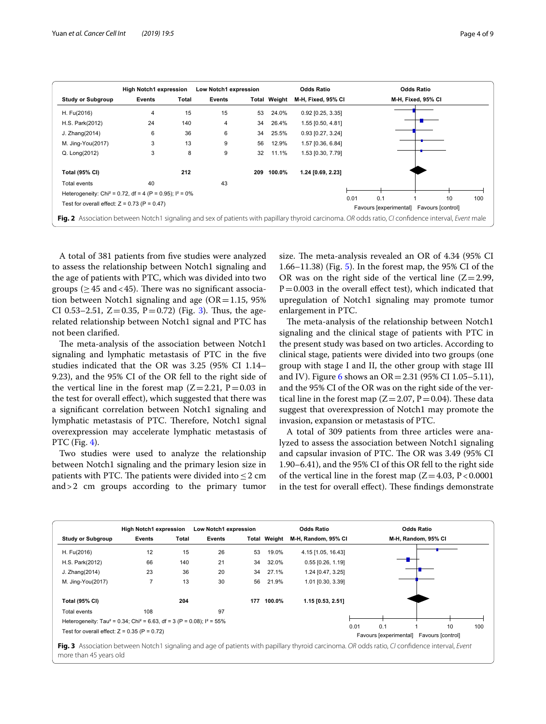|                                                                                                                                                     | <b>High Notch1 expression</b> |       | Low Notch1 expression |     | <b>Odds Ratio</b>   |                     |      | <b>Odds Ratio</b>             |                    |                         |     |
|-----------------------------------------------------------------------------------------------------------------------------------------------------|-------------------------------|-------|-----------------------|-----|---------------------|---------------------|------|-------------------------------|--------------------|-------------------------|-----|
| Study or Subgroup                                                                                                                                   | Events                        | Total | Events                |     | <b>Total Weight</b> | M-H, Fixed, 95% CI  |      |                               | M-H, Fixed, 95% CI |                         |     |
| H. Fu(2016)                                                                                                                                         | 4                             | 15    | 15                    | 53  | 24.0%               | $0.92$ [0.25, 3.35] |      |                               |                    |                         |     |
| H.S. Park(2012)                                                                                                                                     | 24                            | 140   | 4                     | 34  | 26.4%               | 1.55 [0.50, 4.81]   |      |                               |                    |                         |     |
| J. Zhang(2014)                                                                                                                                      | 6                             | 36    | 6                     | 34  | 25.5%               | 0.93 [0.27, 3.24]   |      |                               |                    |                         |     |
| M. Jing-You(2017)                                                                                                                                   | 3                             | 13    | 9                     | 56  | 12.9%               | 1.57 [0.36, 6.84]   |      |                               |                    |                         |     |
| Q. Long(2012)                                                                                                                                       | 3                             | 8     | 9                     | 32  | 11.1%               | 1.53 [0.30, 7.79]   |      |                               |                    |                         |     |
| <b>Total (95% CI)</b>                                                                                                                               |                               | 212   |                       | 209 | 100.0%              | 1.24 [0.69, 2.23]   |      |                               |                    |                         |     |
| Total events                                                                                                                                        | 40                            |       | 43                    |     |                     |                     |      |                               |                    |                         |     |
| Heterogeneity: Chi <sup>2</sup> = 0.72, df = 4 (P = 0.95); $I^2 = 0\%$                                                                              |                               |       |                       |     |                     |                     |      |                               |                    |                         |     |
| Test for overall effect: $Z = 0.73$ (P = 0.47)                                                                                                      |                               |       |                       |     |                     |                     | 0.01 | 0.1<br>Favours [experimental] |                    | 10<br>Favours [control] | 100 |
| Fig. 2 Association between Notch1 signaling and sex of patients with papillary thyroid carcinoma. OR odds ratio, CI confidence interval, Event male |                               |       |                       |     |                     |                     |      |                               |                    |                         |     |

<span id="page-3-0"></span>A total of 381 patients from fve studies were analyzed to assess the relationship between Notch1 signaling and the age of patients with PTC, which was divided into two groups ( $\geq$  45 and < 45). There was no significant association between Notch1 signaling and age  $(OR = 1.15, 95\%)$ CI 0.5[3](#page-3-1)–2.51,  $Z=0.35$ ,  $P=0.72$ ) (Fig. 3). Thus, the agerelated relationship between Notch1 signal and PTC has not been clarifed.

The meta-analysis of the association between Notch1 signaling and lymphatic metastasis of PTC in the fve studies indicated that the OR was 3.25 (95% CI 1.14– 9.23), and the 95% CI of the OR fell to the right side of the vertical line in the forest map  $(Z=2.21, P=0.03$  in the test for overall efect), which suggested that there was a signifcant correlation between Notch1 signaling and lymphatic metastasis of PTC. Therefore, Notch1 signal overexpression may accelerate lymphatic metastasis of PTC (Fig. [4\)](#page-4-0).

Two studies were used to analyze the relationship between Notch1 signaling and the primary lesion size in patients with PTC. The patients were divided into  $\leq$  2 cm and>2 cm groups according to the primary tumor size. The meta-analysis revealed an OR of 4.34 (95% CI 1.66–11.38) (Fig. [5](#page-4-1)). In the forest map, the 95% CI of the OR was on the right side of the vertical line  $(Z=2.99,$  $P=0.003$  in the overall effect test), which indicated that upregulation of Notch1 signaling may promote tumor enlargement in PTC.

The meta-analysis of the relationship between Notch1 signaling and the clinical stage of patients with PTC in the present study was based on two articles. According to clinical stage, patients were divided into two groups (one group with stage I and II, the other group with stage III and IV). Figure [6](#page-4-2) shows an  $OR = 2.31$  (95% CI 1.05–5.11), and the 95% CI of the OR was on the right side of the vertical line in the forest map  $(Z=2.07, P=0.04)$ . These data suggest that overexpression of Notch1 may promote the invasion, expansion or metastasis of PTC.

A total of 309 patients from three articles were analyzed to assess the association between Notch1 signaling and capsular invasion of PTC. The OR was 3.49 (95% CI 1.90–6.41), and the 95% CI of this OR fell to the right side of the vertical line in the forest map  $(Z=4.03, P<0.0001)$ in the test for overall effect). These findings demonstrate

<span id="page-3-1"></span>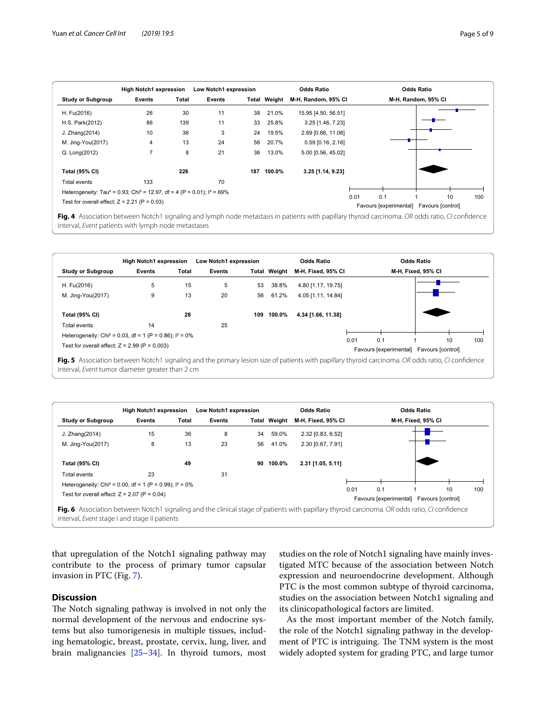|                                                                                                  | <b>High Notch1 expression</b> |       | Low Notch1 expression |     |                     | <b>Odds Ratio</b>   | <b>Odds Ratio</b> |                               |                         |     |
|--------------------------------------------------------------------------------------------------|-------------------------------|-------|-----------------------|-----|---------------------|---------------------|-------------------|-------------------------------|-------------------------|-----|
| <b>Study or Subgroup</b>                                                                         | Events                        | Total | Events                |     | <b>Total Weight</b> | M-H, Random, 95% CI |                   |                               | M-H, Random, 95% CI     |     |
| H. Fu(2016)                                                                                      | 26                            | 30    | 11                    | 38  | 21.0%               | 15.95 [4.50, 56.51] |                   |                               |                         |     |
| H.S. Park(2012)                                                                                  | 86                            | 139   | 11                    | 33  | 25.8%               | 3.25 [1.46, 7.23]   |                   |                               |                         |     |
| J. Zhang(2014)                                                                                   | 10                            | 36    | 3                     | 24  | 19.5%               | 2.69 [0.66, 11.06]  |                   |                               |                         |     |
| M. Jing-You(2017)                                                                                | 4                             | 13    | 24                    | 56  | 20.7%               | $0.59$ [0.16, 2.16] |                   |                               |                         |     |
| Q. Long(2012)                                                                                    | 7                             | 8     | 21                    | 36  | 13.0%               | 5.00 [0.56, 45.02]  |                   |                               |                         |     |
| <b>Total (95% CI)</b>                                                                            |                               | 226   |                       | 187 | 100.0%              | 3.25 [1.14, 9.23]   |                   |                               |                         |     |
| Total events                                                                                     | 133                           |       | 70                    |     |                     |                     |                   |                               |                         |     |
| Heterogeneity: Tau <sup>2</sup> = 0.93; Chi <sup>2</sup> = 12.97, df = 4 (P = 0.01); $I^2$ = 69% |                               |       |                       |     |                     |                     |                   |                               |                         |     |
| Test for overall effect: $Z = 2.21$ (P = 0.03)                                                   |                               |       |                       |     |                     |                     | 0.01              | 0.1<br>Favours [experimental] | 10<br>Favours [control] | 100 |

<span id="page-4-0"></span>**Fig. 4** Association between Notch1 signaling and lymph node metastasis in patients with papillary thyroid carcinoma. *OR* odds ratio, *CI* confdence interval, *Event* patients with lymph node metastases

|                                                                        | <b>High Notch1 expression</b> |       | Low Notch1 expression |     |                     | <b>Odds Ratio</b>  |      | <b>Odds Ratio</b> |                                                |     |
|------------------------------------------------------------------------|-------------------------------|-------|-----------------------|-----|---------------------|--------------------|------|-------------------|------------------------------------------------|-----|
| <b>Study or Subgroup</b>                                               | Events                        | Total | <b>Events</b>         |     | <b>Total Weight</b> | M-H, Fixed, 95% CI |      |                   | M-H, Fixed, 95% CI                             |     |
| H. Fu(2016)                                                            | 5                             | 15    | 5                     | 53  | 38.8%               | 4.80 [1.17, 19.75] |      |                   |                                                |     |
| M. Jing-You(2017)                                                      | 9                             | 13    | 20                    | 56  | 61.2%               | 4.05 [1.11, 14.84] |      |                   |                                                |     |
| <b>Total (95% CI)</b>                                                  |                               | 28    |                       | 109 | 100.0%              | 4.34 [1.66, 11.38] |      |                   |                                                |     |
| Total events                                                           | 14                            |       | 25                    |     |                     |                    |      |                   |                                                |     |
| Heterogeneity: Chi <sup>2</sup> = 0.03, df = 1 (P = 0.86); $I^2 = 0\%$ |                               |       |                       |     |                     |                    |      |                   |                                                |     |
| Test for overall effect: $Z = 2.99$ (P = 0.003)                        |                               |       |                       |     |                     |                    | 0.01 | 0.1               | 10<br>Favours [experimental] Favours [control] | 100 |

<span id="page-4-1"></span>

|                                                                                                                                                                                                | <b>High Notch1 expression</b> |       | Low Notch1 expression |    |                     | <b>Odds Ratio</b>  |      |                                          | <b>Odds Ratio</b>  |    |     |
|------------------------------------------------------------------------------------------------------------------------------------------------------------------------------------------------|-------------------------------|-------|-----------------------|----|---------------------|--------------------|------|------------------------------------------|--------------------|----|-----|
| <b>Study or Subgroup</b>                                                                                                                                                                       | Events                        | Total | Events                |    | <b>Total Weight</b> | M-H, Fixed, 95% CI |      |                                          | M-H, Fixed, 95% CI |    |     |
| J. Zhang(2014)                                                                                                                                                                                 | 15                            | 36    | 8                     | 34 | 59.0%               | 2.32 [0.83, 6.52]  |      |                                          |                    |    |     |
| M. Jing-You(2017)                                                                                                                                                                              | 8                             | 13    | 23                    | 56 | 41.0%               | 2.30 [0.67, 7.91]  |      |                                          |                    |    |     |
| <b>Total (95% CI)</b>                                                                                                                                                                          |                               | 49    |                       | 90 | 100.0%              | 2.31 [1.05, 5.11]  |      |                                          |                    |    |     |
| Total events                                                                                                                                                                                   | 23                            |       | 31                    |    |                     |                    |      |                                          |                    |    |     |
| Heterogeneity: Chi <sup>2</sup> = 0.00, df = 1 (P = 0.99); $I^2 = 0\%$                                                                                                                         |                               |       |                       |    |                     |                    | 0.01 | 0.1                                      |                    | 10 | 100 |
| Test for overall effect: $Z = 2.07$ (P = 0.04)                                                                                                                                                 |                               |       |                       |    |                     |                    |      | Favours [experimental] Favours [control] |                    |    |     |
| Fig. 6 Association between Notch1 signaling and the clinical stage of patients with papillary thyroid carcinoma. OR odds ratio, CI confidence<br>interval, Event stage I and stage II patients |                               |       |                       |    |                     |                    |      |                                          |                    |    |     |

<span id="page-4-2"></span>that upregulation of the Notch1 signaling pathway may contribute to the process of primary tumor capsular invasion in PTC (Fig. [7\)](#page-5-0).

## **Discussion**

The Notch signaling pathway is involved in not only the normal development of the nervous and endocrine systems but also tumorigenesis in multiple tissues, including hematologic, breast, prostate, cervix, lung, liver, and brain malignancies [\[25–](#page-7-18)[34\]](#page-7-19). In thyroid tumors, most

studies on the role of Notch1 signaling have mainly investigated MTC because of the association between Notch expression and neuroendocrine development. Although PTC is the most common subtype of thyroid carcinoma, studies on the association between Notch1 signaling and its clinicopathological factors are limited.

As the most important member of the Notch family, the role of the Notch1 signaling pathway in the development of PTC is intriguing. The TNM system is the most widely adopted system for grading PTC, and large tumor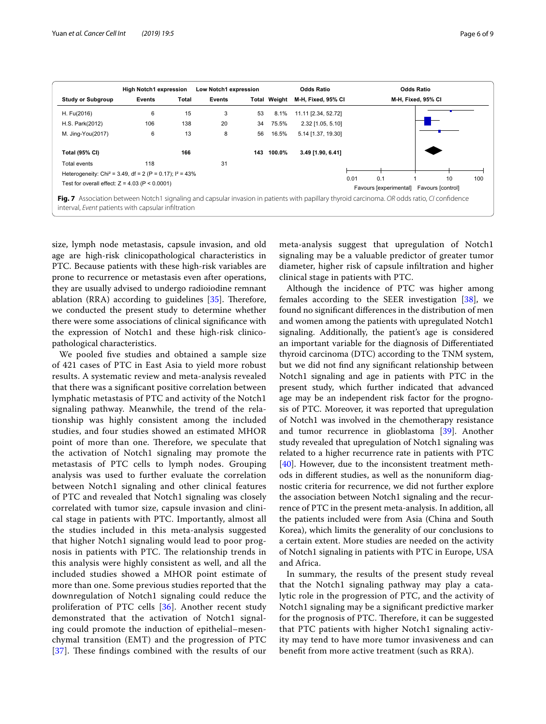| <b>Study or Subgroup</b>                                                                                                                                                                            | <b>High Notch1 expression</b> |       | Low Notch1 expression |     |                     | <b>Odds Ratio</b>   |      |                                                 |                    |     |
|-----------------------------------------------------------------------------------------------------------------------------------------------------------------------------------------------------|-------------------------------|-------|-----------------------|-----|---------------------|---------------------|------|-------------------------------------------------|--------------------|-----|
|                                                                                                                                                                                                     | Events                        | Total | <b>Events</b>         |     | <b>Total Weight</b> | M-H, Fixed, 95% CI  |      |                                                 | M-H, Fixed, 95% CI |     |
| H. Fu(2016)                                                                                                                                                                                         | 6                             | 15    | 3                     | 53  | 8.1%                | 11.11 [2.34, 52.72] |      |                                                 |                    |     |
| H.S. Park(2012)                                                                                                                                                                                     | 106                           | 138   | 20                    | 34  | 75.5%               | 2.32 [1.05, 5.10]   |      |                                                 |                    |     |
| M. Jing-You(2017)                                                                                                                                                                                   | 6                             | 13    | 8                     | 56  | 16.5%               | 5.14 [1.37, 19.30]  |      |                                                 |                    |     |
| <b>Total (95% CI)</b>                                                                                                                                                                               |                               | 166   |                       | 143 | 100.0%              | 3.49 [1.90, 6.41]   |      |                                                 |                    |     |
| Total events                                                                                                                                                                                        | 118                           |       | 31                    |     |                     |                     |      |                                                 |                    |     |
| Heterogeneity: Chi <sup>2</sup> = 3.49, df = 2 (P = 0.17); $I^2 = 43\%$                                                                                                                             |                               |       |                       |     |                     |                     |      |                                                 |                    |     |
| Test for overall effect: $Z = 4.03$ (P < 0.0001)                                                                                                                                                    |                               |       |                       |     |                     |                     | 0.01 | 0.1<br>Favours [experimental] Favours [control] | 10                 | 100 |
| Fig. 7 Association between Notch1 signaling and capsular invasion in patients with papillary thyroid carcinoma. OR odds ratio, CI confidence<br>interval, Event patients with capsular infiltration |                               |       |                       |     |                     |                     |      |                                                 |                    |     |

<span id="page-5-0"></span>size, lymph node metastasis, capsule invasion, and old age are high-risk clinicopathological characteristics in PTC. Because patients with these high-risk variables are prone to recurrence or metastasis even after operations, they are usually advised to undergo radioiodine remnant ablation (RRA) according to guidelines  $[35]$  $[35]$ . Therefore, we conducted the present study to determine whether there were some associations of clinical signifcance with the expression of Notch1 and these high-risk clinicopathological characteristics.

We pooled fve studies and obtained a sample size of 421 cases of PTC in East Asia to yield more robust results. A systematic review and meta-analysis revealed that there was a signifcant positive correlation between lymphatic metastasis of PTC and activity of the Notch1 signaling pathway. Meanwhile, the trend of the relationship was highly consistent among the included studies, and four studies showed an estimated MHOR point of more than one. Therefore, we speculate that the activation of Notch1 signaling may promote the metastasis of PTC cells to lymph nodes. Grouping analysis was used to further evaluate the correlation between Notch1 signaling and other clinical features of PTC and revealed that Notch1 signaling was closely correlated with tumor size, capsule invasion and clinical stage in patients with PTC. Importantly, almost all the studies included in this meta-analysis suggested that higher Notch1 signaling would lead to poor prognosis in patients with PTC. The relationship trends in this analysis were highly consistent as well, and all the included studies showed a MHOR point estimate of more than one. Some previous studies reported that the downregulation of Notch1 signaling could reduce the proliferation of PTC cells [[36\]](#page-7-21). Another recent study demonstrated that the activation of Notch1 signaling could promote the induction of epithelial–mesenchymal transition (EMT) and the progression of PTC [[37](#page-7-22)]. These findings combined with the results of our meta-analysis suggest that upregulation of Notch1 signaling may be a valuable predictor of greater tumor diameter, higher risk of capsule infltration and higher clinical stage in patients with PTC.

Although the incidence of PTC was higher among females according to the SEER investigation [[38](#page-8-0)], we found no signifcant diferences in the distribution of men and women among the patients with upregulated Notch1 signaling. Additionally, the patient's age is considered an important variable for the diagnosis of Diferentiated thyroid carcinoma (DTC) according to the TNM system, but we did not fnd any signifcant relationship between Notch1 signaling and age in patients with PTC in the present study, which further indicated that advanced age may be an independent risk factor for the prognosis of PTC. Moreover, it was reported that upregulation of Notch1 was involved in the chemotherapy resistance and tumor recurrence in glioblastoma [\[39\]](#page-8-1). Another study revealed that upregulation of Notch1 signaling was related to a higher recurrence rate in patients with PTC [[40\]](#page-8-2). However, due to the inconsistent treatment methods in diferent studies, as well as the nonuniform diagnostic criteria for recurrence, we did not further explore the association between Notch1 signaling and the recurrence of PTC in the present meta-analysis. In addition, all the patients included were from Asia (China and South Korea), which limits the generality of our conclusions to a certain extent. More studies are needed on the activity of Notch1 signaling in patients with PTC in Europe, USA and Africa.

In summary, the results of the present study reveal that the Notch1 signaling pathway may play a catalytic role in the progression of PTC, and the activity of Notch1 signaling may be a signifcant predictive marker for the prognosis of PTC. Therefore, it can be suggested that PTC patients with higher Notch1 signaling activity may tend to have more tumor invasiveness and can beneft from more active treatment (such as RRA).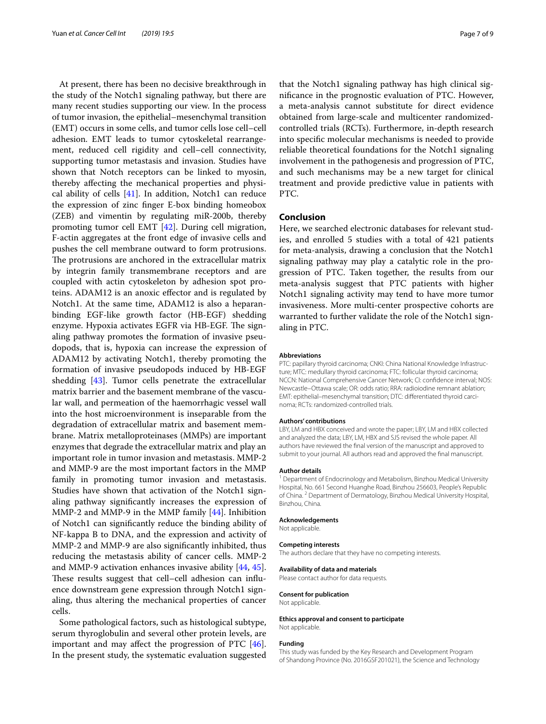At present, there has been no decisive breakthrough in the study of the Notch1 signaling pathway, but there are many recent studies supporting our view. In the process of tumor invasion, the epithelial–mesenchymal transition (EMT) occurs in some cells, and tumor cells lose cell–cell adhesion. EMT leads to tumor cytoskeletal rearrangement, reduced cell rigidity and cell–cell connectivity, supporting tumor metastasis and invasion. Studies have shown that Notch receptors can be linked to myosin, thereby afecting the mechanical properties and physical ability of cells  $[41]$  $[41]$ . In addition, Notch1 can reduce the expression of zinc fnger E-box binding homeobox (ZEB) and vimentin by regulating miR-200b, thereby promoting tumor cell EMT [[42\]](#page-8-4). During cell migration, F-actin aggregates at the front edge of invasive cells and pushes the cell membrane outward to form protrusions. The protrusions are anchored in the extracellular matrix by integrin family transmembrane receptors and are coupled with actin cytoskeleton by adhesion spot proteins. ADAM12 is an anoxic efector and is regulated by Notch1. At the same time, ADAM12 is also a heparanbinding EGF-like growth factor (HB-EGF) shedding enzyme. Hypoxia activates EGFR via HB-EGF. The signaling pathway promotes the formation of invasive pseudopods, that is, hypoxia can increase the expression of ADAM12 by activating Notch1, thereby promoting the formation of invasive pseudopods induced by HB-EGF shedding [\[43\]](#page-8-5). Tumor cells penetrate the extracellular matrix barrier and the basement membrane of the vascular wall, and permeation of the haemorrhagic vessel wall into the host microenvironment is inseparable from the degradation of extracellular matrix and basement membrane. Matrix metalloproteinases (MMPs) are important enzymes that degrade the extracellular matrix and play an important role in tumor invasion and metastasis. MMP-2 and MMP-9 are the most important factors in the MMP family in promoting tumor invasion and metastasis. Studies have shown that activation of the Notch1 signaling pathway signifcantly increases the expression of MMP-2 and MMP-9 in the MMP family [\[44](#page-8-6)]. Inhibition of Notch1 can signifcantly reduce the binding ability of NF-kappa B to DNA, and the expression and activity of MMP-2 and MMP-9 are also signifcantly inhibited, thus reducing the metastasis ability of cancer cells. MMP-2 and MMP-9 activation enhances invasive ability [\[44](#page-8-6), [45](#page-8-7)]. These results suggest that cell–cell adhesion can influence downstream gene expression through Notch1 signaling, thus altering the mechanical properties of cancer cells.

Some pathological factors, such as histological subtype, serum thyroglobulin and several other protein levels, are important and may afect the progression of PTC [\[46](#page-8-8)]. In the present study, the systematic evaluation suggested

that the Notch1 signaling pathway has high clinical signifcance in the prognostic evaluation of PTC. However, a meta-analysis cannot substitute for direct evidence obtained from large-scale and multicenter randomizedcontrolled trials (RCTs). Furthermore, in-depth research into specifc molecular mechanisms is needed to provide reliable theoretical foundations for the Notch1 signaling involvement in the pathogenesis and progression of PTC, and such mechanisms may be a new target for clinical treatment and provide predictive value in patients with PTC.

## **Conclusion**

Here, we searched electronic databases for relevant studies, and enrolled 5 studies with a total of 421 patients for meta-analysis, drawing a conclusion that the Notch1 signaling pathway may play a catalytic role in the progression of PTC. Taken together, the results from our meta-analysis suggest that PTC patients with higher Notch1 signaling activity may tend to have more tumor invasiveness. More multi-center prospective cohorts are warranted to further validate the role of the Notch1 signaling in PTC.

#### **Abbreviations**

PTC: papillary thyroid carcinoma; CNKI: China National Knowledge Infrastructure; MTC: medullary thyroid carcinoma; FTC: follicular thyroid carcinoma; NCCN: National Comprehensive Cancer Network; CI: confdence interval; NOS: Newcastle–Ottawa scale; OR: odds ratio; RRA: radioiodine remnant ablation; EMT: epithelial–mesenchymal transition; DTC: diferentiated thyroid carcinoma; RCTs: randomized-controlled trials.

#### **Authors' contributions**

LBY, LM and HBX conceived and wrote the paper; LBY, LM and HBX collected and analyzed the data; LBY, LM, HBX and SJS revised the whole paper. All authors have reviewed the fnal version of the manuscript and approved to submit to your journal. All authors read and approved the fnal manuscript.

#### **Author details**

<sup>1</sup> Department of Endocrinology and Metabolism, Binzhou Medical University Hospital, No. 661 Second Huanghe Road, Binzhou 256603, People's Republic of China. <sup>2</sup> Department of Dermatology, Binzhou Medical University Hospital, Binzhou, China.

#### **Acknowledgements**

Not applicable.

#### **Competing interests**

The authors declare that they have no competing interests.

## **Availability of data and materials**

Please contact author for data requests.

#### **Consent for publication**

Not applicable.

#### **Ethics approval and consent to participate** Not applicable.

#### **Funding**

This study was funded by the Key Research and Development Program of Shandong Province (No. 2016GSF201021), the Science and Technology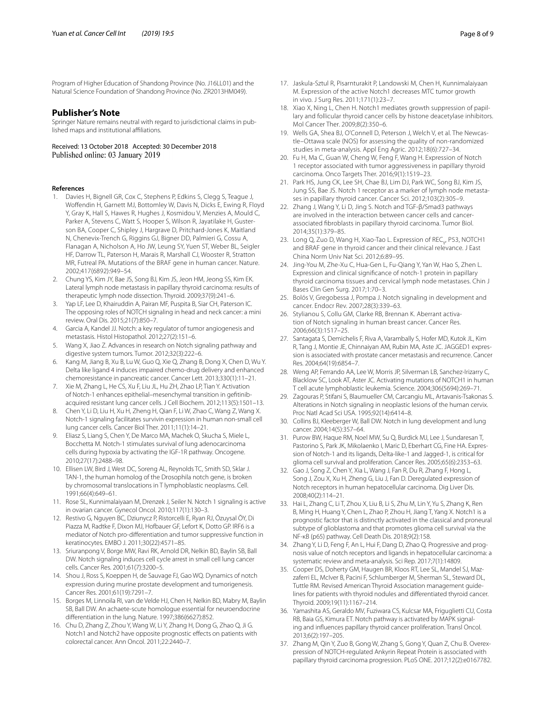Program of Higher Education of Shandong Province (No. J16LL01) and the Natural Science Foundation of Shandong Province (No. ZR2013HM049).

#### **Publisher's Note**

Springer Nature remains neutral with regard to jurisdictional claims in published maps and institutional afliations.

## Received: 13 October 2018 Accepted: 30 December 2018

#### **References**

- <span id="page-7-0"></span>1. Davies H, Bignell GR, Cox C, Stephens P, Edkins S, Clegg S, Teague J, Wofendin H, Garnett MJ, Bottomley W, Davis N, Dicks E, Ewing R, Floyd Y, Gray K, Hall S, Hawes R, Hughes J, Kosmidou V, Menzies A, Mould C, Parker A, Stevens C, Watt S, Hooper S, Wilson R, Jayatilake H, Gusterson BA, Cooper C, Shipley J, Hargrave D, Pritchard-Jones K, Maitland N, Chenevix-Trench G, Riggins GJ, Bigner DD, Palmieri G, Cossu A, Flanagan A, Nicholson A, Ho JW, Leung SY, Yuen ST, Weber BL, Seigler HF, Darrow TL, Paterson H, Marais R, Marshall CJ, Wooster R, Stratton MR, Futreal PA. Mutations of the BRAF gene in human cancer. Nature. 2002;417(6892):949–54.
- <span id="page-7-1"></span>2. Chung YS, Kim JY, Bae JS, Song BJ, Kim JS, Jeon HM, Jeong SS, Kim EK. Lateral lymph node metastasis in papillary thyroid carcinoma: results of therapeutic lymph node dissection. Thyroid. 2009;37(9):241–6.
- <span id="page-7-2"></span>Yap LF, Lee D, Khairuddin A, Pairan MF, Puspita B, Siar CH, Paterson IC. The opposing roles of NOTCH signaling in head and neck cancer: a mini review. Oral Dis. 2015;21(7):850–7.
- <span id="page-7-3"></span>4. Garcia A, Kandel JJ. Notch: a key regulator of tumor angiogenesis and metastasis. Histol Histopathol. 2012;27(2):151–6.
- <span id="page-7-4"></span>5. Wang X, Jiao Z. Advances in research on Notch signaling pathway and digestive system tumors. Tumor. 2012;32(3):222–6.
- 6. Kang M, Jiang B, Xu B, Lu W, Guo Q, Xie Q, Zhang B, Dong X, Chen D, Wu Y. Delta like ligand 4 induces impaired chemo-drug delivery and enhanced chemoresistance in pancreatic cancer. Cancer Lett. 2013;330(1):11–21.
- 7. Xie M, Zhang L, He CS, Xu F, Liu JL, Hu ZH, Zhao LP, Tian Y. Activation of Notch-1 enhances epithelial–mesenchymal transition in geftinibacquired resistant lung cancer cells. J Cell Biochem. 2012;113(5):1501–13.
- 8. Chen Y, Li D, Liu H, Xu H, Zheng H, Qian F, Li W, Zhao C, Wang Z, Wang X. Notch-1 signaling facilitates survivin expression in human non-small cell lung cancer cells. Cancer Biol Ther. 2011;11(1):14–21.
- <span id="page-7-5"></span>9. Eliasz S, Liang S, Chen Y, De Marco MA, Machek O, Skucha S, Miele L, Bocchetta M. Notch-1 stimulates survival of lung adenocarcinoma cells during hypoxia by activating the IGF-1R pathway. Oncogene. 2010;27(17):2488–98.
- <span id="page-7-6"></span>10. Ellisen LW, Bird J, West DC, Soreng AL, Reynolds TC, Smith SD, Sklar J. TAN-1, the human homolog of the Drosophila notch gene, is broken by chromosomal translocations in T lymphoblastic neoplasms. Cell. 1991;66(4):649–61.
- <span id="page-7-7"></span>11. Rose SL, Kunnimalaiyaan M, Drenzek J, Seiler N. Notch 1 signaling is active in ovarian cancer. Gynecol Oncol. 2010;117(1):130–3.
- <span id="page-7-8"></span>12. Restivo G, Nguyen BC, Dziunycz P, Ristorcelli E, Ryan RJ, Özuysal ÖY, Di Piazza M, Radtke F, Dixon MJ, Hofbauer GF, Lefort K, Dotto GP. IRF6 is a mediator of Notch pro-diferentiation and tumor suppressive function in keratinocytes. EMBO J. 2011;30(22):4571–85.
- 13. Sriuranpong V, Borge MW, Ravi RK, Arnold DR, Nelkin BD, Baylin SB, Ball DW. Notch signaling induces cell cycle arrest in small cell lung cancer cells. Cancer Res. 2001;61(7):3200–5.
- 14. Shou J, Ross S, Koeppen H, de Sauvage FJ, Gao WQ. Dynamics of notch expression during murine prostate development and tumorigenesis. Cancer Res. 2001;61(19):7291–7.
- <span id="page-7-9"></span>15. Borges M, Linnoila RI, van de Velde HJ, Chen H, Nelkin BD, Mabry M, Baylin SB, Ball DW. An achaete-scute homologue essential for neuroendocrine diferentiation in the lung. Nature. 1997;386(6627):852.
- <span id="page-7-10"></span>16. Chu D, Zhang Z, Zhou Y, Wang W, Li Y, Zhang H, Dong G, Zhao Q, Ji G. Notch1 and Notch2 have opposite prognostic efects on patients with colorectal cancer. Ann Oncol. 2011;22:2440–7.
- <span id="page-7-11"></span>17. Jaskula-Sztul R, Pisarnturakit P, Landowski M, Chen H, Kunnimalaiyaan M. Expression of the active Notch1 decreases MTC tumor growth in vivo. J Surg Res. 2011;171(1):23–7.
- <span id="page-7-12"></span>18. Xiao X, Ning L, Chen H. Notch1 mediates growth suppression of papillary and follicular thyroid cancer cells by histone deacetylase inhibitors. Mol Cancer Ther. 2009;8(2):350–6.
- <span id="page-7-13"></span>19. Wells GA, Shea BJ, O'Connell D, Peterson J, Welch V, et al. The Newcastle–Ottawa scale (NOS) for assessing the quality of non-randomized studies in meta-analysis. Appl Eng Agric. 2012;18(6):727–34.
- <span id="page-7-14"></span>20. Fu H, Ma C, Guan W, Cheng W, Feng F, Wang H. Expression of Notch 1 receptor associated with tumor aggressiveness in papillary thyroid carcinoma. Onco Targets Ther. 2016;9(1):1519–23.
- 21. Park HS, Jung CK, Lee SH, Chae BJ, Lim DJ, Park WC, Song BJ, Kim JS, Jung SS, Bae JS. Notch 1 receptor as a marker of lymph node metastases in papillary thyroid cancer. Cancer Sci. 2012;103(2):305–9.
- <span id="page-7-16"></span>22. Zhang J, Wang Y, Li D, Jing S. Notch and TGF-β/Smad3 pathways are involved in the interaction between cancer cells and cancerassociated fbroblasts in papillary thyroid carcinoma. Tumor Biol. 2014;35(1):379–85.
- <span id="page-7-17"></span>23. Long Q, Zuo D, Wang H, Xiao-Tao L. Expression of REC<sub>V</sub>, P53, NOTCH1 and BRAF gene in thyroid cancer and their clinical relevance. J East China Norm Univ Nat Sci. 2012;6:89–95.
- <span id="page-7-15"></span>24. Jing-You M, Zhe-Xu C, Hua-Gen L, Fu-Qiang Y, Yan W, Hao S, Zhen L. Expression and clinical signifcance of notch-1 protein in papillary thyroid carcinoma tissues and cervical lymph node metastases. Chin J Bases Clin Gen Surg. 2017;1:70–3.
- <span id="page-7-18"></span>25. Bolós V, Gregobessa J, Pompa J. Notch signaling in development and cancer. Endocr Rev. 2007;28(3):339–63.
- 26. Stylianou S, Collu GM, Clarke RB, Brennan K. Aberrant activation of Notch signaling in human breast cancer. Cancer Res. 2006;66(3):1517–25.
- 27. Santagata S, Demichelis F, Riva A, Varambally S, Hofer MD, Kutok JL, Kim R, Tang J, Montie JE, Chinnaiyan AM, Rubin MA, Aste JC. JAGGED1 expression is associated with prostate cancer metastasis and recurrence. Cancer Res. 2004;64(19):6854–7.
- 28. Weng AP, Ferrando AA, Lee W, Morris JP, Silverman LB, Sanchez-Irizarry C, Blacklow SC, Look AT, Aster JC. Activating mutations of NOTCH1 in human T cell acute lymphoblastic leukemia. Science. 2004;306(5694):269–71.
- 29. Zagouras P, Stifani S, Blaumueller CM, Carcangiu ML, Artavanis-Tsakonas S. Alterations in Notch signaling in neoplastic lesions of the human cervix. Proc Natl Acad Sci USA. 1995;92(14):6414–8.
- 30. Collins BJ, Kleeberger W, Ball DW. Notch in lung development and lung cancer. 2004;14(5):357–64.
- 31. Purow BW, Haque RM, Noel MW, Su Q, Burdick MJ, Lee J, Sundaresan T, Pastorino S, Park JK, Mikolaenko I, Maric D, Eberhart CG, Fine HA. Expression of Notch-1 and its ligands, Delta-like-1 and Jagged-1, is critical for glioma cell survival and proliferation. Cancer Res. 2005;65(6):2353–63.
- 32. Gao J, Song Z, Chen Y, Xia L, Wang J, Fan R, Du R, Zhang F, Hong L, Song J, Zou X, Xu H, Zheng G, Liu J, Fan D. Deregulated expression of Notch receptors in human hepatocellular carcinoma. Dig Liver Dis. 2008;40(2):114–21.
- 33. Hai L, Zhang C, Li T, Zhou X, Liu B, Li S, Zhu M, Lin Y, Yu S, Zhang K, Ren B, Ming H, Huang Y, Chen L, Zhao P, Zhou H, Jiang T, Yang X. Notch1 is a prognostic factor that is distinctly activated in the classical and proneural subtype of glioblastoma and that promotes glioma cell survival via the NF-κB (p65) pathway. Cell Death Dis. 2018;9(2):158.
- <span id="page-7-19"></span>34. Zhang Y, Li D, Feng F, An L, Hui F, Dang D, Zhao Q. Progressive and prognosis value of notch receptors and ligands in hepatocellular carcinoma: a systematic review and meta-analysis. Sci Rep. 2017;7(1):14809.
- <span id="page-7-20"></span>35. Cooper DS, Doherty GM, Haugen BR, Kloos RT, Lee SL, Mandel SJ, Mazzaferri EL, McIver B, Pacini F, Schlumberger M, Sherman SL, Steward DL, Tuttle RM. Revised American Thyroid Association management guidelines for patients with thyroid nodules and diferentiated thyroid cancer. Thyroid. 2009;19(11):1167–214.
- <span id="page-7-21"></span>36. Yamashita AS, Geraldo MV, Fuziwara CS, Kulcsar MA, Friguglietti CU, Costa RB, Baia GS, Kimura ET. Notch pathway is activated by MAPK signaling and infuences papillary thyroid cancer proliferation. Transl Oncol. 2013;6(2):197–205.
- <span id="page-7-22"></span>37. Zhang M, Qin Y, Zuo B, Gong W, Zhang S, Gong Y, Quan Z, Chu B. Overexpression of NOTCH-regulated Ankyrin Repeat Protein is associated with papillary thyroid carcinoma progression. PLoS ONE. 2017;12(2):e0167782.